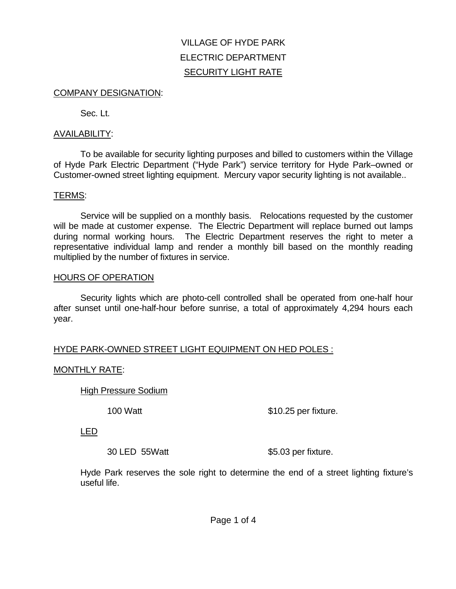# VILLAGE OF HYDE PARK ELECTRIC DEPARTMENT SECURITY LIGHT RATE

#### COMPANY DESIGNATION:

Sec. Lt.

## AVAILABILITY:

To be available for security lighting purposes and billed to customers within the Village of Hyde Park Electric Department ("Hyde Park") service territory for Hyde Park–owned or Customer-owned street lighting equipment. Mercury vapor security lighting is not available..

## TERMS:

Service will be supplied on a monthly basis. Relocations requested by the customer will be made at customer expense. The Electric Department will replace burned out lamps during normal working hours. The Electric Department reserves the right to meter a representative individual lamp and render a monthly bill based on the monthly reading multiplied by the number of fixtures in service.

## HOURS OF OPERATION

Security lights which are photo-cell controlled shall be operated from one-half hour after sunset until one-half-hour before sunrise, a total of approximately 4,294 hours each year.

## HYDE PARK-OWNED STREET LIGHT EQUIPMENT ON HED POLES :

## MONTHLY RATE:

High Pressure Sodium

100 Watt \$10.25 per fixture.

LED

30 LED 55 Watt \$5.03 per fixture.

Hyde Park reserves the sole right to determine the end of a street lighting fixture's useful life.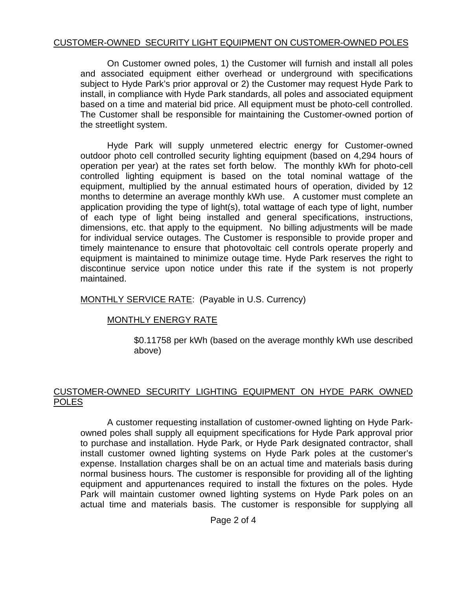## CUSTOMER-OWNED SECURITY LIGHT EQUIPMENT ON CUSTOMER-OWNED POLES

On Customer owned poles, 1) the Customer will furnish and install all poles and associated equipment either overhead or underground with specifications subject to Hyde Park's prior approval or 2) the Customer may request Hyde Park to install, in compliance with Hyde Park standards, all poles and associated equipment based on a time and material bid price. All equipment must be photo-cell controlled. The Customer shall be responsible for maintaining the Customer-owned portion of the streetlight system.

Hyde Park will supply unmetered electric energy for Customer-owned outdoor photo cell controlled security lighting equipment (based on 4,294 hours of operation per year) at the rates set forth below. The monthly kWh for photo-cell controlled lighting equipment is based on the total nominal wattage of the equipment, multiplied by the annual estimated hours of operation, divided by 12 months to determine an average monthly kWh use. A customer must complete an application providing the type of light(s), total wattage of each type of light, number of each type of light being installed and general specifications, instructions, dimensions, etc. that apply to the equipment. No billing adjustments will be made for individual service outages. The Customer is responsible to provide proper and timely maintenance to ensure that photovoltaic cell controls operate properly and equipment is maintained to minimize outage time. Hyde Park reserves the right to discontinue service upon notice under this rate if the system is not properly maintained.

MONTHLY SERVICE RATE: (Payable in U.S. Currency)

## MONTHLY ENERGY RATE

\$0.11758 per kWh (based on the average monthly kWh use described above)

## CUSTOMER-OWNED SECURITY LIGHTING EQUIPMENT ON HYDE PARK OWNED POLES

A customer requesting installation of customer-owned lighting on Hyde Parkowned poles shall supply all equipment specifications for Hyde Park approval prior to purchase and installation. Hyde Park, or Hyde Park designated contractor, shall install customer owned lighting systems on Hyde Park poles at the customer's expense. Installation charges shall be on an actual time and materials basis during normal business hours. The customer is responsible for providing all of the lighting equipment and appurtenances required to install the fixtures on the poles. Hyde Park will maintain customer owned lighting systems on Hyde Park poles on an actual time and materials basis. The customer is responsible for supplying all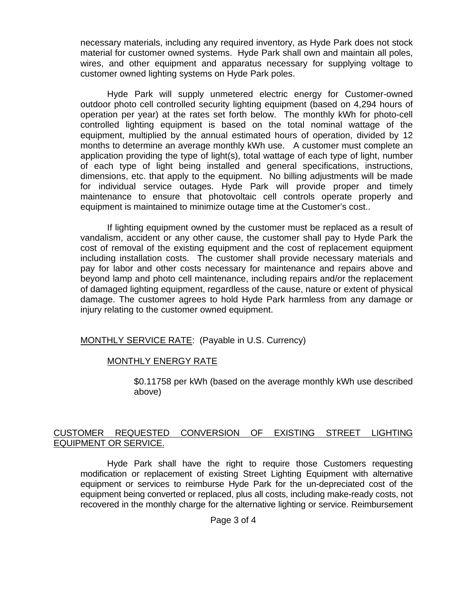necessary materials, including any required inventory, as Hyde Park does not stock material for customer owned systems. Hyde Park shall own and maintain all poles, wires, and other equipment and apparatus necessary for supplying voltage to customer owned lighting systems on Hyde Park poles.

Hyde Park will supply unmetered electric energy for Customer-owned outdoor photo cell controlled security lighting equipment (based on 4,294 hours of operation per year) at the rates set forth below. The monthly kWh for photo-cell controlled lighting equipment is based on the total nominal wattage of the equipment, multiplied by the annual estimated hours of operation, divided by 12 months to determine an average monthly kWh use. A customer must complete an application providing the type of light(s), total wattage of each type of light, number of each type of light being installed and general specifications, instructions, dimensions, etc. that apply to the equipment. No billing adjustments will be made for individual service outages. Hyde Park will provide proper and timely maintenance to ensure that photovoltaic cell controls operate properly and equipment is maintained to minimize outage time at the Customer's cost..

If lighting equipment owned by the customer must be replaced as a result of vandalism, accident or any other cause, the customer shall pay to Hyde Park the cost of removal of the existing equipment and the cost of replacement equipment including installation costs. The customer shall provide necessary materials and pay for labor and other costs necessary for maintenance and repairs above and beyond lamp and photo cell maintenance, including repairs and/or the replacement of damaged lighting equipment, regardless of the cause, nature or extent of physical damage. The customer agrees to hold Hyde Park harmless from any damage or injury relating to the customer owned equipment.

MONTHLY SERVICE RATE: (Payable in U.S. Currency)

# MONTHLY ENERGY RATE

\$0.11758 per kWh (based on the average monthly kWh use described above)

## CUSTOMER REQUESTED CONVERSION OF EXISTING STREET LIGHTING EQUIPMENT OR SERVICE.

Hyde Park shall have the right to require those Customers requesting modification or replacement of existing Street Lighting Equipment with alternative equipment or services to reimburse Hyde Park for the un-depreciated cost of the equipment being converted or replaced, plus all costs, including make-ready costs, not recovered in the monthly charge for the alternative lighting or service. Reimbursement